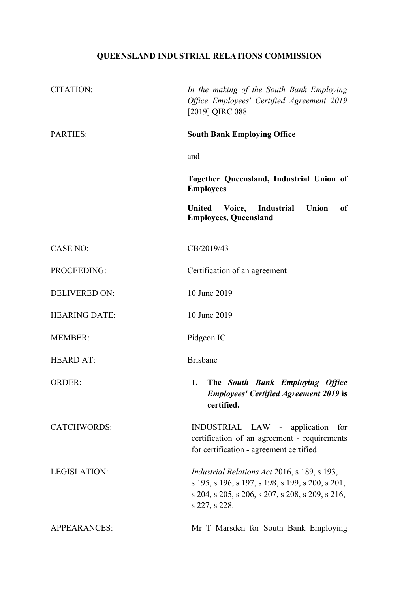## **QUEENSLAND INDUSTRIAL RELATIONS COMMISSION**

| <b>CITATION:</b>     | In the making of the South Bank Employing<br>Office Employees' Certified Agreement 2019<br>[2019] QIRC 088                                                                   |
|----------------------|------------------------------------------------------------------------------------------------------------------------------------------------------------------------------|
| <b>PARTIES:</b>      | <b>South Bank Employing Office</b>                                                                                                                                           |
|                      | and                                                                                                                                                                          |
|                      | Together Queensland, Industrial Union of<br><b>Employees</b>                                                                                                                 |
|                      | <b>United</b><br>Voice, Industrial Union<br>of<br><b>Employees, Queensland</b>                                                                                               |
| <b>CASE NO:</b>      | CB/2019/43                                                                                                                                                                   |
| PROCEEDING:          | Certification of an agreement                                                                                                                                                |
| <b>DELIVERED ON:</b> | 10 June 2019                                                                                                                                                                 |
| <b>HEARING DATE:</b> | 10 June 2019                                                                                                                                                                 |
| <b>MEMBER:</b>       | Pidgeon IC                                                                                                                                                                   |
| <b>HEARD AT:</b>     | <b>Brisbane</b>                                                                                                                                                              |
| <b>ORDER:</b>        | The South Bank Employing Office<br>1.<br><b>Employees' Certified Agreement 2019 is</b><br>certified.                                                                         |
| <b>CATCHWORDS:</b>   | INDUSTRIAL LAW - application<br>for<br>certification of an agreement - requirements<br>for certification - agreement certified                                               |
| <b>LEGISLATION:</b>  | <i>Industrial Relations Act 2016, s 189, s 193,</i><br>s 195, s 196, s 197, s 198, s 199, s 200, s 201,<br>s 204, s 205, s 206, s 207, s 208, s 209, s 216,<br>s 227, s 228. |
| <b>APPEARANCES:</b>  | Mr T Marsden for South Bank Employing                                                                                                                                        |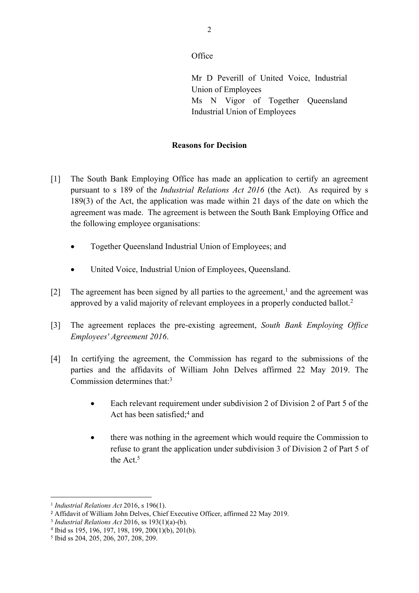**Office** 

Mr D Peverill of United Voice, Industrial Union of Employees Ms N Vigor of Together Queensland Industrial Union of Employees

## **Reasons for Decision**

- [1] The South Bank Employing Office has made an application to certify an agreement pursuant to s 189 of the *Industrial Relations Act 2016* (the Act). As required by s 189(3) of the Act, the application was made within 21 days of the date on which the agreement was made. The agreement is between the South Bank Employing Office and the following employee organisations:
	- Together Queensland Industrial Union of Employees; and
	- United Voice, Industrial Union of Employees, Queensland.
- [2] The agreement has been signed by all parties to the agreement,<sup>1</sup> and the agreement was approved by a valid majority of relevant employees in a properly conducted ballot.<sup>2</sup>
- [3] The agreement replaces the pre-existing agreement, *South Bank Employing Office Employees' Agreement 2016*.
- [4] In certifying the agreement, the Commission has regard to the submissions of the parties and the affidavits of William John Delves affirmed 22 May 2019. The Commission determines that:<sup>3</sup>
	- Each relevant requirement under subdivision 2 of Division 2 of Part 5 of the Act has been satisfied;<sup>4</sup> and
	- there was nothing in the agreement which would require the Commission to refuse to grant the application under subdivision 3 of Division 2 of Part 5 of the Act  $5$

<sup>1</sup> *Industrial Relations Act* 2016, s 196(1).

<sup>2</sup> Affidavit of William John Delves, Chief Executive Officer, affirmed 22 May 2019.

<sup>3</sup> *Industrial Relations Act* 2016, ss 193(1)(a)-(b).

<sup>4</sup> Ibid ss 195, 196, 197, 198, 199, 200(1)(b), 201(b).

<sup>5</sup> Ibid ss 204, 205, 206, 207, 208, 209.